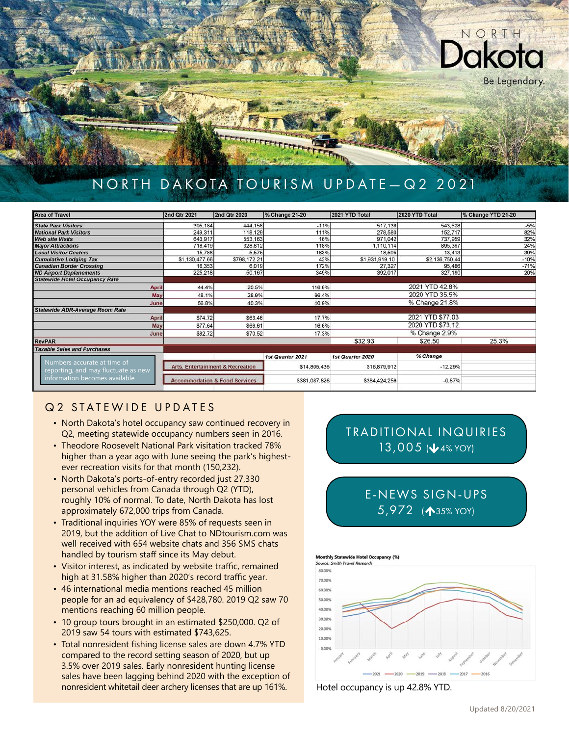

# NORTH DAKOTA TOURISM UPDATE-Q2 2021

| <b>Area of Travel</b>                  | 2nd Qtr 2021   | 2nd Qtr 2020                             | % Change 21-20   | 2021 YTD Total   | 2020 YTD Total   | % Change YTD 21-20 |  |
|----------------------------------------|----------------|------------------------------------------|------------------|------------------|------------------|--------------------|--|
| <b>State Park Visitors</b>             | 395,184        | 444,158                                  | $-11%$           | 517,138          | 543,528          | $-5%$              |  |
| <b>National Park Visitors</b>          | 249,311        | 118,129                                  | 111%             | 278,580          | 152.717          | 82%                |  |
| <b>Web site Visits</b>                 | 643,917        | 553,163                                  | 16%              | 971,042          | 737,959          | 32%                |  |
| <b>Major Attractions</b>               | 718,419        | 328,812                                  | 118%             | 1,110,114        | 895,367          | 24%                |  |
| <b>Local Visitor Centers</b>           | 15,788         | 5,575                                    | 183%             | 18,595           | 13,413           | 39%                |  |
| <b>Cumulative Lodging Tax</b>          | \$1,130,477.66 | \$798,172.21                             | 42%              | \$1,931,919.10   | \$2,136,750.44   | $-10%$             |  |
| <b>Canadian Border Crossing</b>        | 16,353         | 6,019                                    | 172%             | 27,327           | 95,486           | $-71%$             |  |
| <b>ND Airport Deplanements</b>         | 225,218        | 50.167                                   | 349%             | 392,017          | 327,190          | 20%                |  |
| <b>Statewide Hotel Occupancy Rate</b>  |                |                                          |                  |                  |                  |                    |  |
| <b>April</b>                           | 44.4%          | 20.5%                                    | 116.6%           |                  | 2021 YTD 42.8%   |                    |  |
| May                                    | 48.1%          | 28.9%                                    | 66.4%            |                  | 2020 YTD 35.5%   |                    |  |
| June                                   | 56.8%          | 40.3%                                    | 40.9%            |                  | % Change 21.8%   |                    |  |
| <b>Statewide ADR-Average Room Rate</b> |                |                                          |                  |                  |                  |                    |  |
| April                                  | \$74.72        | \$63.46                                  | 17.7%            |                  | 2021 YTD \$77.03 |                    |  |
| May                                    | \$77.64        | \$66.61                                  | 16.6%            |                  | 2020 YTD \$73.12 |                    |  |
| June                                   | \$82.72        | \$70.52                                  | 17.3%            |                  | % Change 2.9%    |                    |  |
| <b>RevPAR</b>                          |                |                                          |                  | \$32.93          | \$26.50          | 25.3%              |  |
| <b>Taxable Sales and Purchases</b>     |                |                                          |                  |                  |                  |                    |  |
|                                        |                |                                          | 1st Quarter 2021 | 1st Quarter 2020 | % Change         |                    |  |
| Numbers accurate at time of            |                | Arts, Entertainment & Recreation         | \$14,805,436     | \$16,879,912     | $-12.29%$        |                    |  |
| reporting, and may fluctuate as new    |                |                                          |                  |                  |                  |                    |  |
| information becomes available.         |                | <b>Accommodation &amp; Food Services</b> | \$381,087,826    | \$384,424,256    | $-0.87%$         |                    |  |
|                                        |                |                                          |                  |                  |                  |                    |  |

### Q2 STATEWIDE UPDATES

- North Dakota's hotel occupancy saw continued recovery in Q2, meeting statewide occupancy numbers seen in 2016.
- Theodore Roosevelt National Park visitation tracked 78% higher than a year ago with June seeing the park's highestever recreation visits for that month (150,232).
- North Dakota's ports-of-entry recorded just 27,330 personal vehicles from Canada through Q2 (YTD), roughly 10% of normal. To date, North Dakota has lost approximately 672,000 trips from Canada.
- Traditional inquiries YOY were 85% of requests seen in 2019, but the addition of Live Chat to NDtourism.com was well received with 654 website chats and 356 SMS chats handled by tourism staff since its May debut.
- Visitor interest, as indicated by website traffic, remained high at 31.58% higher than 2020's record traffic year.
- 46 international media mentions reached 45 million people for an ad equivalency of \$428,780. 2019 Q2 saw 70 mentions reaching 60 million people.
- 10 group tours brought in an estimated \$250,000. Q2 of 2019 saw 54 tours with estimated \$743,625.
- Total nonresident fishing license sales are down 4.7% YTD compared to the record setting season of 2020, but up 3.5% over 2019 sales. Early nonresident hunting license sales have been lagging behind 2020 with the exception of nonresident whitetail deer archery licenses that are up 161%. Hotel occupancy is up 42.8% YTD.

## TRADITIONAL INQUIRIES  $13,005$  ( $\sqrt{4\%}$  YOY)

E-NEWS SIGN-UPS 5,972 (135% YOY)